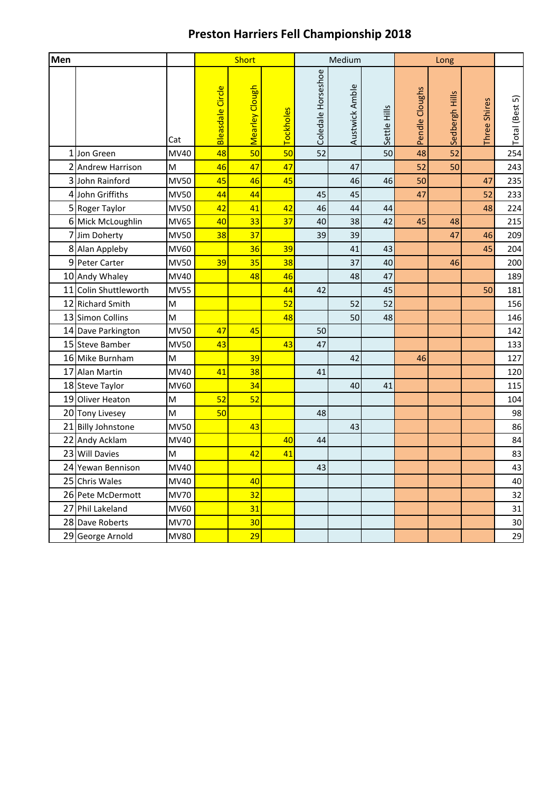## **Preston Harriers Fell Championship 2018**

| Men |                       |             |                  | Short          |                  |                    | Medium         |              |                | Long           |              |                |
|-----|-----------------------|-------------|------------------|----------------|------------------|--------------------|----------------|--------------|----------------|----------------|--------------|----------------|
|     |                       | Cat         | Bleasdale Circle | Mearley Clough | <b>Tockholes</b> | Coledale Horseshoe | Austwick Amble | Settle Hills | Pendle Cloughs | Sedbergh Hills | Three Shires | Total (Best 5) |
|     | 1 Jon Green           | MV40        | 48               | 50             | 50               | 52                 |                | 50           | 48             | 52             |              | 254            |
|     | 2 Andrew Harrison     | M           | 46               | 47             | 47               |                    | 47             |              | 52             | 50             |              | 243            |
|     | 3 John Rainford       | <b>MV50</b> | 45               | 46             | 45               |                    | 46             | 46           | 50             |                | 47           | 235            |
|     | 4 John Griffiths      | <b>MV50</b> | 44               | 44             |                  | 45                 | 45             |              | 47             |                | 52           | 233            |
|     | 5 Roger Taylor        | <b>MV50</b> | 42               | 41             | 42               | 46                 | 44             | 44           |                |                | 48           | 224            |
|     | 6 Mick McLoughlin     | <b>MV65</b> | 40               | 33             | 37               | 40                 | 38             | 42           | 45             | 48             |              | 215            |
|     | 7 Jim Doherty         | <b>MV50</b> | 38               | 37             |                  | 39                 | 39             |              |                | 47             | 46           | 209            |
|     | 8 Alan Appleby        | <b>MV60</b> |                  | 36             | 39               |                    | 41             | 43           |                |                | 45           | 204            |
|     | 9 Peter Carter        | <b>MV50</b> | 39               | 35             | 38               |                    | 37             | 40           |                | 46             |              | 200            |
|     | 10 Andy Whaley        | MV40        |                  | 48             | 46               |                    | 48             | 47           |                |                |              | 189            |
|     | 11 Colin Shuttleworth | <b>MV55</b> |                  |                | 44               | 42                 |                | 45           |                |                | 50           | 181            |
|     | 12 Richard Smith      | M           |                  |                | 52               |                    | 52             | 52           |                |                |              | 156            |
|     | 13 Simon Collins      | M           |                  |                | 48               |                    | 50             | 48           |                |                |              | 146            |
|     | 14 Dave Parkington    | <b>MV50</b> | 47               | 45             |                  | 50                 |                |              |                |                |              | 142            |
|     | 15 Steve Bamber       | <b>MV50</b> | 43               |                | 43               | 47                 |                |              |                |                |              | 133            |
|     | 16 Mike Burnham       | M           |                  | 39             |                  |                    | 42             |              | 46             |                |              | 127            |
|     | 17 Alan Martin        | MV40        | 41               | 38             |                  | 41                 |                |              |                |                |              | 120            |
|     | 18 Steve Taylor       | <b>MV60</b> |                  | 34             |                  |                    | 40             | 41           |                |                |              | 115            |
|     | 19 Oliver Heaton      | M           | 52               | 52             |                  |                    |                |              |                |                |              | 104            |
|     | 20 Tony Livesey       | M           | 50               |                |                  | 48                 |                |              |                |                |              | 98             |
|     | 21 Billy Johnstone    | <b>MV50</b> |                  | 43             |                  |                    | 43             |              |                |                |              | 86             |
|     | 22 Andy Acklam        | MV40        |                  |                | 40               | 44                 |                |              |                |                |              | 84             |
|     | 23 Will Davies        | M           |                  | 42             | 41               |                    |                |              |                |                |              | 83             |
|     | 24 Yewan Bennison     | MV40        |                  |                |                  | 43                 |                |              |                |                |              | 43             |
|     | 25 Chris Wales        | <b>MV40</b> |                  | 40             |                  |                    |                |              |                |                |              | 40             |
|     | 26 Pete McDermott     | <b>MV70</b> |                  | 32             |                  |                    |                |              |                |                |              | 32             |
|     | 27 Phil Lakeland      | <b>MV60</b> |                  | 31             |                  |                    |                |              |                |                |              | 31             |
|     | 28 Dave Roberts       | <b>MV70</b> |                  | 30             |                  |                    |                |              |                |                |              | 30             |
|     | 29 George Arnold      | <b>MV80</b> |                  | 29             |                  |                    |                |              |                |                |              | 29             |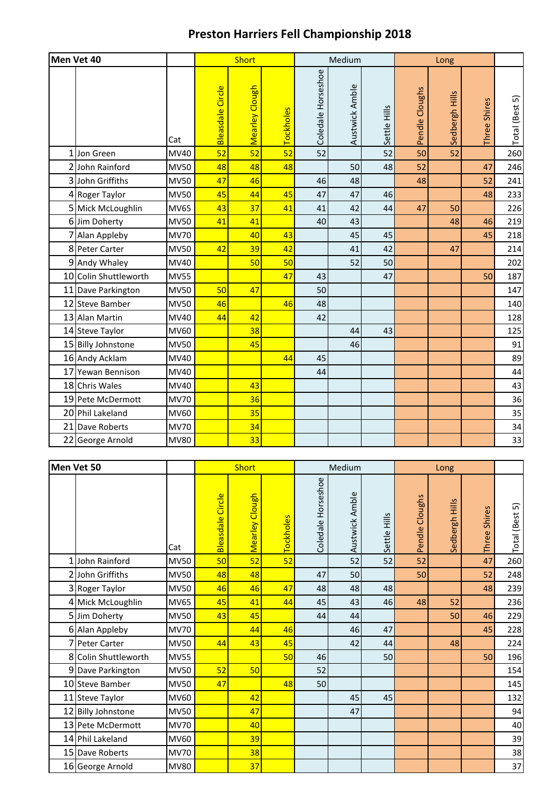## **Preston Harriers Fell Championship 2018**

|    | Men Vet 40            |             |                  | Short          |           |                    | Medium         |              | Long           |                |                  |                |
|----|-----------------------|-------------|------------------|----------------|-----------|--------------------|----------------|--------------|----------------|----------------|------------------|----------------|
|    |                       | Cat         | Bleasdale Circle | Mearley Clough | Tockholes | Coledale Horseshoe | Austwick Amble | Settle Hills | Pendle Cloughs | Sedbergh Hills | Shires<br>Three: | Total (Best 5) |
| 1  | Jon Green             | MV40        | 52               | 52             | 52        | 52                 |                | 52           | 50             | 52             |                  | 260            |
|    | 2 John Rainford       | <b>MV50</b> | 48               | 48             | 48        |                    | 50             | 48           | 52             |                | 47               | 246            |
|    | 3 John Griffiths      | <b>MV50</b> | 47               | 46             |           | 46                 | 48             |              | 48             |                | 52               | 241            |
|    | 4 Roger Taylor        | <b>MV50</b> | 45               | 44             | 45        | 47                 | 47             | 46           |                |                | 48               | 233            |
|    | 5 Mick McLoughlin     | <b>MV65</b> | 43               | 37             | 41        | 41                 | 42             | 44           | 47             | 50             |                  | 226            |
|    | 6 Jim Doherty         | <b>MV50</b> | 41               | 41             |           | 40                 | 43             |              |                | 48             | 46               | 219            |
|    | 7 Alan Appleby        | <b>MV70</b> |                  | 40             | 43        |                    | 45             | 45           |                |                | 45               | 218            |
|    | 8 Peter Carter        | <b>MV50</b> | 42               | 39             | 42        |                    | 41             | 42           |                | 47             |                  | 214            |
|    | 9 Andy Whaley         | MV40        |                  | 50             | 50        |                    | 52             | 50           |                |                |                  | 202            |
|    | 10 Colin Shuttleworth | <b>MV55</b> |                  |                | 47        | 43                 |                | 47           |                |                | 50               | 187            |
|    | 11 Dave Parkington    | <b>MV50</b> | 50               | 47             |           | 50                 |                |              |                |                |                  | 147            |
|    | 12 Steve Bamber       | <b>MV50</b> | 46               |                | 46        | 48                 |                |              |                |                |                  | 140            |
|    | 13 Alan Martin        | MV40        | 44               | 42             |           | 42                 |                |              |                |                |                  | 128            |
|    | 14 Steve Taylor       | MV60        |                  | 38             |           |                    | 44             | 43           |                |                |                  | 125            |
|    | 15 Billy Johnstone    | <b>MV50</b> |                  | 45             |           |                    | 46             |              |                |                |                  | 91             |
|    | 16 Andy Acklam        | MV40        |                  |                | 44        | 45                 |                |              |                |                |                  | 89             |
| 17 | Yewan Bennison        | MV40        |                  |                |           | 44                 |                |              |                |                |                  | 44             |
|    | 18 Chris Wales        | MV40        |                  | 43             |           |                    |                |              |                |                |                  | 43             |
|    | 19 Pete McDermott     | <b>MV70</b> |                  | 36             |           |                    |                |              |                |                |                  | 36             |
|    | 20 Phil Lakeland      | MV60        |                  | 35             |           |                    |                |              |                |                |                  | 35             |
|    | 21 Dave Roberts       | <b>MV70</b> |                  | 34             |           |                    |                |              |                |                |                  | 34             |
|    | 22 George Arnold      | <b>MV80</b> |                  | 33             |           |                    |                |              |                |                |                  | 33             |

|   | Men Vet 50           |             |                         | <b>Short</b>   |                  |                    | Medium         |              |                | Long<br>Sedbergh Hills<br>Shires<br>52<br>50<br>48 |       |                                 |
|---|----------------------|-------------|-------------------------|----------------|------------------|--------------------|----------------|--------------|----------------|----------------------------------------------------|-------|---------------------------------|
|   |                      | Cat         | <b>Bleasdale Circle</b> | Mearley Clough | <b>Tockholes</b> | Coledale Horseshoe | Austwick Amble | Settle Hills | Pendle Cloughs |                                                    | Three | <u>ົດ</u><br><b>Total</b> (Best |
|   | 1 John Rainford      | <b>MV50</b> | 50                      | 52             | 52               |                    | 52             | 52           | 52             |                                                    | 47    | 260                             |
| 2 | John Griffiths       | <b>MV50</b> | 48                      | 48             |                  | 47                 | 50             |              | 50             |                                                    | 52    | 248                             |
|   | 3 Roger Taylor       | <b>MV50</b> | 46                      | 46             | 47               | 48                 | 48             | 48           |                |                                                    | 48    | 239                             |
|   | 4 Mick McLoughlin    | MV65        | 45                      | 41             | 44               | 45                 | 43             | 46           | 48             |                                                    |       | 236                             |
|   | 5 Jim Doherty        | <b>MV50</b> | 43                      | 45             |                  | 44                 | 44             |              |                |                                                    | 46    | 229                             |
|   | 6 Alan Appleby       | <b>MV70</b> |                         | 44             | 46               |                    | 46             | 47           |                |                                                    | 45    | 228                             |
|   | 7 Peter Carter       | <b>MV50</b> | 44                      | 43             | 45               |                    | 42             | 44           |                |                                                    |       | 224                             |
|   | 8 Colin Shuttleworth | <b>MV55</b> |                         |                | 50               | 46                 |                | 50           |                |                                                    | 50    | 196                             |
|   | 9 Dave Parkington    | <b>MV50</b> | 52                      | 50             |                  | 52                 |                |              |                |                                                    |       | 154                             |
|   | 10 Steve Bamber      | <b>MV50</b> | 47                      |                | 48               | 50                 |                |              |                |                                                    |       | 145                             |
|   | 11 Steve Taylor      | MV60        |                         | 42             |                  |                    | 45             | 45           |                |                                                    |       | 132                             |
|   | 12 Billy Johnstone   | <b>MV50</b> |                         | 47             |                  |                    | 47             |              |                |                                                    |       | 94                              |
|   | 13 Pete McDermott    | <b>MV70</b> |                         | 40             |                  |                    |                |              |                |                                                    |       | 40                              |
|   | 14 Phil Lakeland     | MV60        |                         | 39             |                  |                    |                |              |                |                                                    |       | 39                              |
|   | 15 Dave Roberts      | <b>MV70</b> |                         | 38             |                  |                    |                |              |                |                                                    |       | 38                              |
|   | 16 George Arnold     | <b>MV80</b> |                         | 37             |                  |                    |                |              |                |                                                    |       | 37                              |